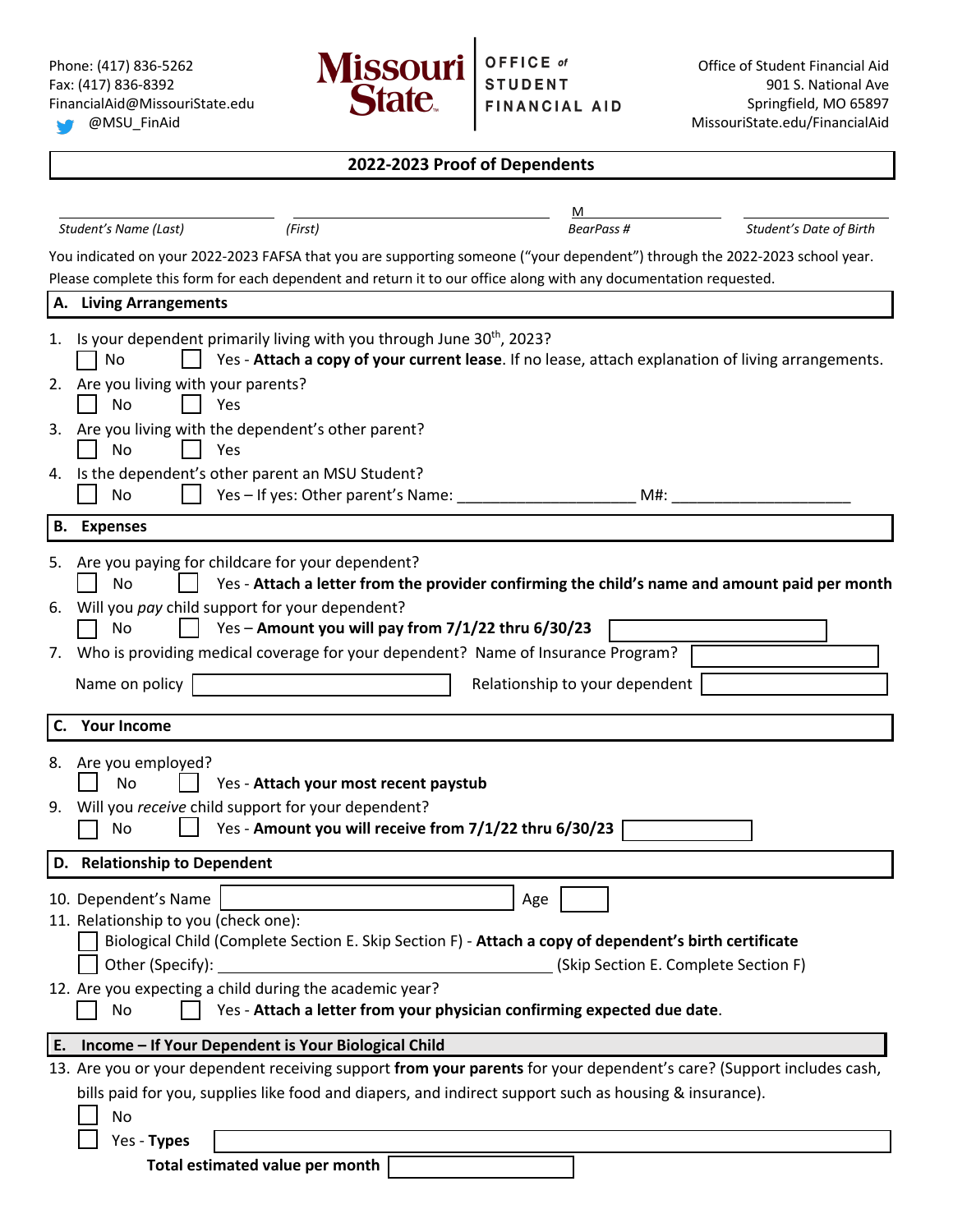

|                                                                                        | 2022-2023 Proof of Dependents                                                                                                                                                                                                                                                                |                                             |                         |
|----------------------------------------------------------------------------------------|----------------------------------------------------------------------------------------------------------------------------------------------------------------------------------------------------------------------------------------------------------------------------------------------|---------------------------------------------|-------------------------|
|                                                                                        |                                                                                                                                                                                                                                                                                              | м                                           |                         |
| Student's Name (Last)                                                                  | (First)                                                                                                                                                                                                                                                                                      | BearPass #                                  | Student's Date of Birth |
|                                                                                        | You indicated on your 2022-2023 FAFSA that you are supporting someone ("your dependent") through the 2022-2023 school year.<br>Please complete this form for each dependent and return it to our office along with any documentation requested.                                              |                                             |                         |
| A. Living Arrangements                                                                 |                                                                                                                                                                                                                                                                                              |                                             |                         |
| No<br>Are you living with your parents?<br>2.<br>No                                    | Is your dependent primarily living with you through June 30 <sup>th</sup> , 2023?<br>Yes - Attach a copy of your current lease. If no lease, attach explanation of living arrangements.<br>Yes                                                                                               |                                             |                         |
| No                                                                                     | 3. Are you living with the dependent's other parent?<br>Yes                                                                                                                                                                                                                                  |                                             |                         |
| 4.<br>No                                                                               | Is the dependent's other parent an MSU Student?<br>Yes - If yes: Other parent's Name:                                                                                                                                                                                                        | M#:                                         |                         |
| <b>B.</b> Expenses                                                                     |                                                                                                                                                                                                                                                                                              |                                             |                         |
| <b>No</b><br>6.<br>No<br>Name on policy<br><b>Your Income</b><br>C.                    | Yes - Attach a letter from the provider confirming the child's name and amount paid per month<br>Will you pay child support for your dependent?<br>Yes - Amount you will pay from 7/1/22 thru 6/30/23<br>7. Who is providing medical coverage for your dependent? Name of Insurance Program? | Relationship to your dependent              |                         |
| Are you employed?<br>8.                                                                |                                                                                                                                                                                                                                                                                              |                                             |                         |
| No                                                                                     | Yes - Attach your most recent paystub                                                                                                                                                                                                                                                        |                                             |                         |
| No                                                                                     | 9. Will you receive child support for your dependent?<br>Yes - Amount you will receive from 7/1/22 thru 6/30/23                                                                                                                                                                              |                                             |                         |
| D. Relationship to Dependent                                                           |                                                                                                                                                                                                                                                                                              |                                             |                         |
| 10. Dependent's Name<br>11. Relationship to you (check one):<br>Other (Specify):<br>No | Biological Child (Complete Section E. Skip Section F) - Attach a copy of dependent's birth certificate<br>12. Are you expecting a child during the academic year?<br>Yes - Attach a letter from your physician confirming expected due date.                                                 | Age<br>(Skip Section E. Complete Section F) |                         |
| E.                                                                                     | Income - If Your Dependent is Your Biological Child                                                                                                                                                                                                                                          |                                             |                         |
|                                                                                        | 13. Are you or your dependent receiving support from your parents for your dependent's care? (Support includes cash,                                                                                                                                                                         |                                             |                         |
| No                                                                                     | bills paid for you, supplies like food and diapers, and indirect support such as housing & insurance).                                                                                                                                                                                       |                                             |                         |

Yes - **Types**

**Total estimated value per month**